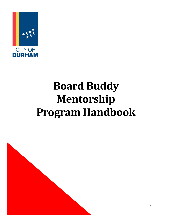

# **Board Buddy Mentorship Program Handbook**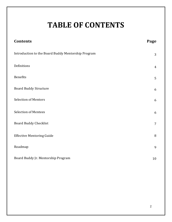## **TABLE OF CONTENTS**

| <b>Contents</b>                                    | Page           |
|----------------------------------------------------|----------------|
| Introduction to the Board Buddy Mentorship Program | 3              |
| Definitions                                        | $\overline{4}$ |
| Benefits                                           | 5              |
| <b>Board Buddy Structure</b>                       | 6              |
| <b>Selection of Mentors</b>                        | 6              |
| <b>Selection of Mentees</b>                        | 6              |
| <b>Board Buddy Checklist</b>                       | $\overline{7}$ |
| <b>Effective Mentoring Guide</b>                   | $\, 8$         |
| Roadmap                                            | 9              |
| Board Buddy Jr. Mentorship Program                 | 10             |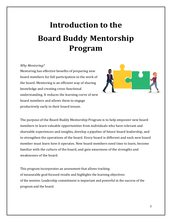## **Introduction to the Board Buddy Mentorship Program**

#### *Why Mentoring?*

Mentoring has effective benefits of preparing new board members for full participation in the work of the board. Mentoring is an efficient way of sharing knowledge and creating cross-functional understanding. It reduces the learning curve of new board members and allows them to engage productively early in their board tenure.



The purpose of the Board Buddy Mentorship Program is to help empower new board members to learn valuable opportunities from individuals who have relevant and shareable experiences and insights, develop a pipeline of future board leadership, and to strengthen the operations of the board. Every board is different and each new board member must learn how it operates. New board members need time to learn, become familiar with the culture of the board, and gain awareness of the strengths and weaknesses of the board.

This program incorporates an assessment that allows tracking of measurable goal-focused results and highlights the learning objectives of the mentee. Leadership commitment is important and powerful in the success of the program and the board.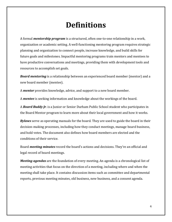### **Definitions**

A formal *mentorship program* is a structured, often one-to-one relationship in a work, organization or academic setting. A well-functioning mentoring program requires strategic planning and organization to connect people, increase knowledge, and build skills for future goals and milestones. Impactful mentoring programs train mentors and mentees to have productive conversations and meetings, providing them with development tools and resources to accomplish set goals.

*Board mentoring* is a relationship between an experienced board member (mentor) and a new board member (mentee).

A *mentor* provides knowledge, advice, and support to a new board member.

A *mentee* is seeking information and knowledge about the workings of the board.

A *Board Buddy Jr*. is a Junior or Senior Durham Public School student who participates in the Board Mentor program to learn more about their local government and how it works.

*Bylaws* serve as operating manuals for the board. They are used to guide the board in their decision-making processes, including how they conduct meetings, manage board business, and hold votes. The document also defines how board members are elected and the conditions of their service.

Board *meeting minutes* record the board's actions and decisions. They're an official and legal record of board meetings.

*Meeting agendas* are the foundation of every meeting. An agenda is a chronological list of meeting activities that focus on the direction of a meeting, including where and when the meeting shall take place. It contains discussion items such as committee and departmental reports, previous meeting minutes, old business, new business, and a consent agenda.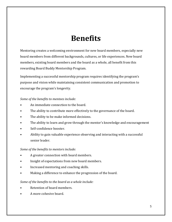### **Benefits**

Mentoring creates a welcoming environment for new board members, especially new board members from different backgrounds, cultures, or life experiences. New board members, existing board members and the board as a whole, all benefit from this rewarding Board Buddy Mentorship Program.

Implementing a successful mentorship program requires identifying the program's purpose and vision while maintaining consistent communication and promotion to encourage the program's longevity.

#### *Some of the benefits to mentees include:*

- An immediate connection to the board.
- The ability to contribute more effectively to the governance of the board.
- The ability to be make informed decisions.
- The ability to learn and grow through the mentor's knowledge and encouragement
- Self-confidence booster.
- Ability to gain valuable experience observing and interacting with a successful senior leader.

### *Some of the benefits to mentors include:*

- A greater connection with board members.
- Insight of expectations from new board members.
- Increased mentoring and coaching skills.
- Making a difference to enhance the progression of the board.

### *Some of the benefits to the board as a whole include:*

- Retention of board members.
- A more cohesive board.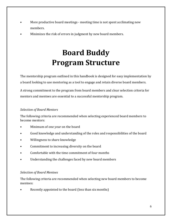- More productive board meetings meeting time is not spent acclimating new members.
- Minimizes the risk of errors in judgment by new board members.

## **Board Buddy Program Structure**

The mentorship program outlined in this handbook is designed for easy implementation by a board looking to use mentoring as a tool to engage and retain diverse board members.

A strong commitment to the program from board members and clear selection criteria for mentors and mentees are essential to a successful mentorship program.

### *Selection of Board Mentors*

The following criteria are recommended when selecting experienced board members to become mentors:

- Minimum of one year on the board
- Good knowledge and understanding of the roles and responsibilities of the board
- Willingness to share knowledge
- Commitment to increasing diversity on the board
- Comfortable with the time commitment of four months
- Understanding the challenges faced by new board members

#### *Selection of Board Mentees*

The following criteria are recommended when selecting new board members to become mentees:

Recently appointed to the board (less than six months)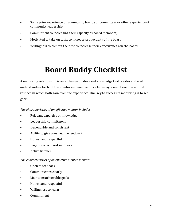- Some prior experience on community boards or committees or other experience of community leadership
- Commitment to increasing their capacity as board members;
- Motivated to take on tasks to increase productivity of the board
- Willingness to commit the time to increase their effectiveness on the board

## **Board Buddy Checklist**

A mentoring relationship is an exchange of ideas and knowledge that creates a shared understanding for both the mentor and mentee. It's a two-way street, based on mutual respect, in which both gain from the experience. One key to success in mentoring is to set goals.

### *The characteristics of an effective mentor include:*

- Relevant expertise or knowledge
- Leadership commitment
- Dependable and consistent
- Ability to give constructive feedback
- Honest and respectful
- Eagerness to invest in others
- Active listener

### *The characteristics of an effective mentee include:*

- Open to feedback
- Communicates clearly
- Maintains achievable goals
- Honest and respectful
- Willingness to learn
- Commitment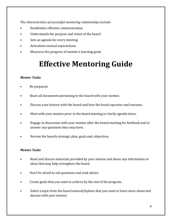*The characteristics of successful mentoring relationships include:*

- Establishes effective communication
- Understands the purpose and vision of the board
- Sets an agenda for every meeting
- Articulates mutual expectations
- Measures the progress of mentee's learning goals

## **Effective Mentoring Guide**

### *Mentor Tasks*

- Be prepared.
- Share all documents pertaining to the board with your mentee.
- Discuss your history with the board and how the board operates and executes.
- Meet with your mentee prior to the board meeting to clarify agenda items.
- Engage in discussion with your mentee after the board meeting for feedback and to answer any questions they may have.
- Review the boards strategic plan, goals and, objectives.

### *Mentee Tasks*

- Read and discuss materials provided by your mentor and share any information or ideas that may help strengthen the board.
- Don't be afraid to ask questions and seek advice.
- Create goals that you want to achieve by the end of the program.
- Select a topic from the board manual/bylaws that you want to learn more about and discuss with your mentor.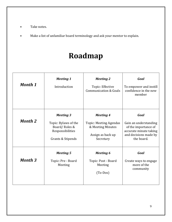- Take notes.
- Make a list of unfamiliar board terminology and ask your mentor to explain.

## **Roadmap**

| <b>Month 1</b> | <b>Meeting 1</b><br>Introduction                                                                   | <b>Meeting 2</b><br>Topic: Effective<br><b>Communication &amp; Goals</b>                                 | Goal<br>To empower and instill<br>confidence in the new<br>member                                                      |
|----------------|----------------------------------------------------------------------------------------------------|----------------------------------------------------------------------------------------------------------|------------------------------------------------------------------------------------------------------------------------|
| <b>Month 2</b> | <b>Meeting 3</b><br>Topic: Bylaws of the<br>Board/Roles &<br>Responsibilities<br>Grants & Stipends | <b>Meeting 4</b><br><b>Topic: Meeting Agendas</b><br>& Meeting Minutes<br>Assign as back up<br>Secretary | Goal<br>Gain an understanding<br>of the importance of<br>accurate minute taking<br>and decisions made by<br>the board. |
| <b>Month 3</b> | <b>Meeting 5</b><br>Topic: Pre - Board<br>Meeting                                                  | <b>Meeting 6</b><br>Topic: Post - Board<br>Meeting<br>$(To-Dos)$                                         | Goal<br>Create ways to engage<br>more of the<br>community                                                              |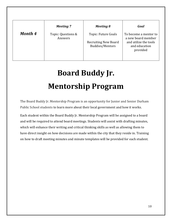|         | <b>Meeting 7</b>              | Meeting 8                                                                    | Goal                                                                                              |
|---------|-------------------------------|------------------------------------------------------------------------------|---------------------------------------------------------------------------------------------------|
| Month 4 | Topic: Questions &<br>Answers | Topic: Future Goals<br><b>Recruiting New Board</b><br><b>Buddies/Mentors</b> | To become a mentor to<br>a new board member<br>and utilize the tools<br>and education<br>provided |

## **Board Buddy Jr. Mentorship Program**

The Board Buddy Jr. Mentorship Program is an opportunity for Junior and Senior Durham Public School students to learn more about their local government and how it works.

Each student within the Board Buddy Jr. Mentorship Program will be assigned to a board and will be required to attend board meetings. Students will assist with drafting minutes, which will enhance their writing and critical thinking skills as well as allowing them to have direct insight on how decisions are made within the city that they reside in. Training on how to draft meeting minutes and minute templates will be provided for each student.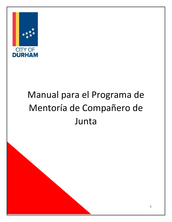

# Manual para el Programa de Mentoría de Compañero de Junta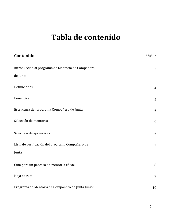### **Tabla de contenido**

| Contenido                                         | Página         |
|---------------------------------------------------|----------------|
| Introducción al programa de Mentoría de Compañero | 3              |
| de Junta                                          |                |
| Definiciones                                      | $\overline{4}$ |
| <b>Beneficios</b>                                 | 5              |
| Estructura del programa Compañero de Junta        | 6              |
| Selección de mentores                             | 6              |
| Selección de aprendices                           | 6              |
| Lista de verificación del programa Compañero de   | $\overline{7}$ |
| Junta                                             |                |
| Guía para un proceso de mentoría eficaz           | 8              |
| Hoja de ruta                                      | 9              |
| Programa de Mentoría de Compañero de Junta Junior | 10             |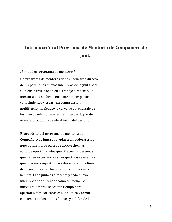### **Introducción al Programa de Mentoría de Compañero de Junta**

¿Por qué un programa de mentores? Un programa de mentores tiene el beneficio directo de preparar a los nuevos miembros de la junta para su plena participación en el trabajo a realizar. La mentoría es una forma eficiente de compartir conocimientos y crear una comprensión multifuncional. Reduce la curva de aprendizaje de los nuevos miembros y les permite participar de manera productiva desde el inicio del periodo.

El propósito del programa de mentoría de Compañero de Junta es ayudar a empoderar a los nuevos miembros para que aprovechen las valiosas oportunidades que ofrecen las personas que tienen experiencias y perspectivas relevantes que pueden compartir, para desarrollar una línea de futuros líderes y fortalecer las operaciones de la junta. Cada junta es diferente y cada nuevo miembro debe aprender cómo funciona. Los nuevos miembros necesitan tiempo para aprender, familiarizarse con la cultura y tomar conciencia de los puntos fuertes y débiles de la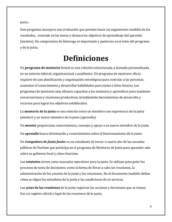junta.

Este programa incorpora una evaluación que permite hacer un seguimiento medible de los resultados, centrado en las metas y destaca los objetivos de aprendizaje del aprendiz (mentee). Un compromiso de liderazgo es importante y poderoso en el éxito del programa y de la junta.

### **Definiciones**

Un **programa de mentoría** formal es una relación estructurada, a menudo personalizada, en un entorno laboral, organizacional o académico. Un programa de mentores eficaz requiere de una planificación y organización estratégicas para conectar a las personas, aumentar el conocimiento y desarrollar habilidades para metas e hitos futuros. Los programas de mentores más eficaces capacitan a los mentores y aprendices para mantener conversaciones y reuniones productivas, brindándoles herramientas de desarrollo y recursos para lograr los objetivos establecidos.

La **mentoría de la junta** es una relación entre un miembro con experiencia de la junta (mentor) y un nuevo miembro de la junta (aprendiz).

Un **mentor** proporciona conocimientos, consejos y apoyo a un nuevo miembro de la junta.

Un **aprendiz** busca información y conocimientos sobre el funcionamiento de la junta.

Un *Compañero de Junta Junior* es un estudiante de tercer o cuarto año de las escuelas públicas de Durham que participa en el programa de Mentores de Junta para aprender más sobre su gobierno local y cómo funciona.

Los **estatutos** sirven como manuales operativos para la junta. Se utilizan para guiar los procesos de toma de decisiones, como la forma de llevar a cabo las reuniones, la administración de los asuntos de la junta y las votaciones. En el documento también define cómo se eligen los miembros de la junta y las condiciones de su servicio.

Las **actas de las reuniones** de la junta registran las acciones y decisiones que se toman. Son un registro oficial y legal de las reuniones de la junta.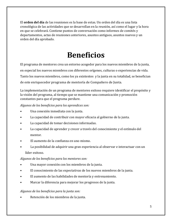El **orden del día** de las reuniones es la base de estas. Un orden del día es una lista cronológica de las actividades que se desarrollan en la reunión, así como el lugar y la hora en que se celebrará. Contiene puntos de conversación como informes de comités y departamentos, actas de reuniones anteriores, asuntos antiguos, asuntos nuevos y un orden del día aprobado.

## **Beneficios**

El programa de mentores crea un entorno acogedor para los nuevos miembros de la junta, en especial los nuevos miembros con diferentes orígenes, culturas o experiencias de vida. Tanto los nuevos miembros, como los ya existentes y la junta en su totalidad, se benefician de este enriquecedor programa de mentoría de Compañero de Junta*.*

La implementación de un programa de mentores exitoso requiere identificar el propósito y la visión del programa, al tiempo que se mantiene una comunicación y promoción constantes para que el programa perdure.

*Algunos de los beneficios para los aprendices son:*

- Una conexión inmediata con la junta.
- La capacidad de contribuir con mayor eficacia al gobierno de la junta.
- La capacidad de tomar decisiones informadas.
- La capacidad de aprender y crecer a través del conocimiento y el estímulo del mentor.
- El aumento de la confianza en uno mismo.
- La posibilidad de adquirir una gran experiencia al observar e interactuar con un líder exitoso.

*Algunos de los beneficios para los mentores son:*

- Una mayor conexión con los miembros de la junta.
- El conocimiento de las expectativas de los nuevos miembros de la junta.
- El aumento de las habilidades de mentoría y entrenamiento.
- Marcar la diferencia para mejorar los progresos de la junta.

### *Algunos de los beneficios para la junta son:*

• Retención de los miembros de la junta.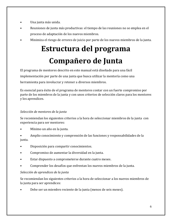- Una junta más unida.
- Reuniones de junta más productivas: el tiempo de las reuniones no se emplea en el proceso de adaptación de los nuevos miembros.
- Minimiza el riesgo de errores de juicio por parte de los nuevos miembros de la junta.

## **Estructura del programa Compañero de Junta**

El programa de mentores descrito en este manual está diseñado para una fácil implementación por parte de una junta que busca utilizar la mentoría como una herramienta para involucrar y retener a diversos miembros.

Es esencial para éxito de el programa de mentores contar con un fuerte compromiso por parte de los miembros de la junta y con unos criterios de selección claros para los mentores y los aprendices.

### *Selección de mentores de la junta*

Se recomiendan los siguientes criterios a la hora de seleccionar miembros de la junta con experiencia para ser mentores:

- Mínimo un año en la junta.
- Amplio conocimiento y comprensión de las funciones y responsabilidades de la junta.
- Disposición para compartir conocimientos.
- Compromiso de aumentar la diversidad en la junta.
- Estar dispuesto a comprometerse durante cuatro meses.
- Comprender los desafíos que enfrentan los nuevos miembros de la junta.

### *Selección de aprendices de la junta*

Se recomiendan los siguientes criterios a la hora de seleccionar a los nuevos miembros de la junta para ser aprendices:

• Debe ser un miembro reciente de la junta (menos de seis meses).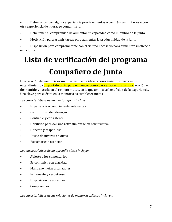• Debe contar con alguna experiencia previa en juntas o comités comunitarios o con otra experiencia de liderazgo comunitario.

- Debe tener el compromiso de aumentar su capacidad como miembro de la junta
- Motivación para asumir tareas para aumentar la productividad de la junta

• Disposición para comprometerse con el tiempo necesario para aumentar su eficacia en la junta.

## **Lista de verificación del programa Compañero de Junta**

Una relación de mentoría es un intercambio de ideas y conocimientos que crea un entendimiento compartido tanto para el mentor como para el aprendiz. Es una relación en dos sentidos, basada en el respeto mutuo, en la que ambos se benefician de la experiencia. Una clave para el éxito en la mentoría es establecer metas.

*Las características de un mentor eficaz incluyen:*

- Experiencia o conocimiento relevantes.
- compromiso de liderazgo.
- Confiable y consistente.
- Habilidad para dar una retroalimentación constructiva.
- Honesto y respetuoso.
- Deseo de invertir en otros.
- Escuchar con atención.

*Las características de un aprendiz eficaz incluyen:*

- Abierto a los comentarios
- Se comunica con claridad
- Mantiene metas alcanzables
- Es honesto y respetuoso
- Disposición de aprender
- Compromiso

*Las características de las relaciones de mentoría exitosas incluyen:*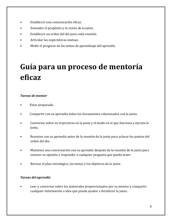- Establecer una comunicación eficaz.
- Entender el propósito y la visión de la junta.
- Establecer un orden del día para cada reunión.
- Articular las expectativas mutuas.
- Medir el progreso de las metas de aprendizaje del aprendiz.

## **Guía para un proceso de mentoría eficaz**

#### *Tareas de mentor*

- Estar preparado.
- Compartir con su aprendiz todos los documentos relacionados con la junta.
- Conversar sobre su trayectoria en la junta y el modo en el que funciona y ejecuta la junta.
- Reunirse con su aprendiz antes de la reunión de la junta para aclarar los puntos del orden del día.
- Mantener una conversación con su aprendiz después de la reunión de la junta para conocer su opinión y responder a cualquier pregunta que pueda tener.
- Revisar el plan estratégico, las metas y los objetivos de la junta.

### *Tareas del aprendiz*

Leer y conversar sobre los materiales proporcionados por su mentor y compartir cualquier información o idea que pueda ayudar a fortalecer la junta.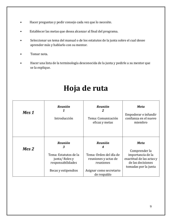- Hacer preguntas y pedir consejo cada vez que lo necesite.
- Establecer las metas que desea alcanzar al final del programa.
- Seleccionar un tema del manual o de los estatutos de la junta sobre el cual desee aprender más y hablarlo con su mentor.
- Tomar nota.
- Hacer una lista de la terminología desconocida de la junta y pedirle a su mentor que se la explique.

## **Hoja de ruta**

| Mes 1 | <b>Reunión</b><br>Introducción                                                                            | <b>Reunión</b><br>2<br>Tema: Comunicación<br>eficaz y metas                                                                  | Meta<br>Empoderar e infundir<br>confianza en el nuevo<br>miembro                                                           |
|-------|-----------------------------------------------------------------------------------------------------------|------------------------------------------------------------------------------------------------------------------------------|----------------------------------------------------------------------------------------------------------------------------|
| Mes 2 | <b>Reunión</b><br>3<br>Tema: Estatutos de la<br>junta/Roles y<br>responsabilidades<br>Becas y estipendios | <b>Reunión</b><br>4<br>Tema: Orden del día de<br>reuniones y actas de<br>reuniones<br>Asignar como secretario<br>de respaldo | <b>Meta</b><br>Comprender la<br>importancia de la<br>exactitud de las actas y<br>de las decisiones<br>tomadas por la junta |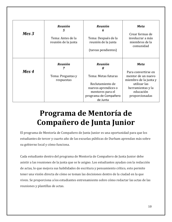| $Mes 3$ | <b>Reunión</b><br>5<br>Tema: Antes de la<br>reunión de la junta | <b>Reunión</b><br>6<br>Tema: Después de la<br>reunión de la junta<br>(tareas pendientes) | <b>Meta</b><br>Crear formas de<br>involucrar a más<br>miembros de la<br>comunidad                       |
|---------|-----------------------------------------------------------------|------------------------------------------------------------------------------------------|---------------------------------------------------------------------------------------------------------|
|         | <b>Reunión</b><br>7                                             | <b>Reunión</b><br>8                                                                      | <b>Meta</b>                                                                                             |
| Mes 4   | Tema: Preguntas y<br>respuestas                                 | Tema: Metas futuras<br>Reclutamiento de<br>nuevos aprendices o                           | Para convertirse en<br>mentor de un nuevo<br>miembro de la junta y<br>utilizar las<br>herramientas y la |
|         |                                                                 | mentores para el<br>programa de Compañero<br>de Junta                                    | educación<br>proporcionadas                                                                             |

## **Programa de Mentoría de Compañero de Junta Junior**

El programa de Mentoría de Compañero de Junta Junior es una oportunidad para que los estudiantes de tercer y cuarto año de las escuelas públicas de Durham aprendan más sobre su gobierno local y cómo funciona.

Cada estudiante dentro del programa de Mentoría de Compañero de Junta Junior debe asistir a las reuniones de la junta que se le asigno. Los estudiantes ayudan con la redacción de actas, lo que mejora sus habilidades de escritura y pensamiento crítico, esto permite tener una visión directa de cómo se toman las decisiones dentro de la ciudad en la que viven. Se proporciona a los estudiantes entrenamiento sobre cómo redactar las actas de las reuniones y plantillas de actas.